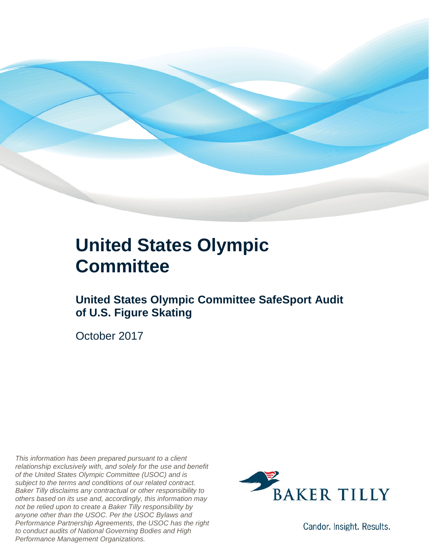

#### **United States Olympic Committee**

**United States Olympic Committee SafeSport Audit of U.S. Figure Skating** 

October 2017

*This information has been prepared pursuant to a client relationship exclusively with, and solely for the use and benefit of the United States Olympic Committee (USOC) and is subject to the terms and conditions of our related contract. Baker Tilly disclaims any contractual or other responsibility to others based on its use and, accordingly, this information may not be relied upon to create a Baker Tilly responsibility by anyone other than the USOC. Per the USOC Bylaws and Performance Partnership Agreements, the USOC has the right to conduct audits of National Governing Bodies and High Performance Management Organizations.*



Candor. Insight. Results.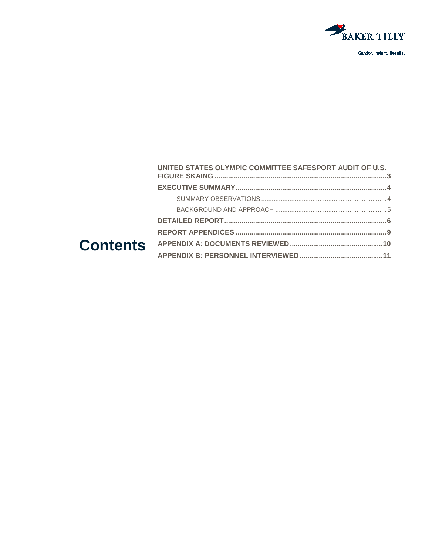

Candor. Insight. Results.

| UNITED STATES OLYMPIC COMMITTEE SAFESPORT AUDIT OF U.S. |  |
|---------------------------------------------------------|--|
|                                                         |  |
|                                                         |  |
|                                                         |  |
|                                                         |  |
|                                                         |  |
|                                                         |  |
|                                                         |  |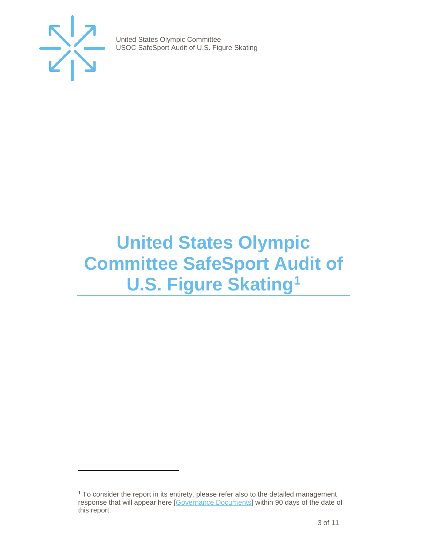

j

United States Olympic Committee USOC SafeSport Audit of U.S. Figure Skating

### <span id="page-2-0"></span>**United States Olympic Committee SafeSport Audit of U.S. Figure Skating[1](#page-2-1)**

<span id="page-2-1"></span><sup>&</sup>lt;sup>1</sup> To consider the report in its entirety, please refer also to the detailed management response that will appear here [\[Governance Documents\]](https://www.teamusa.org/Footer/Legal/Governance-Documents) within 90 days of the date of this report.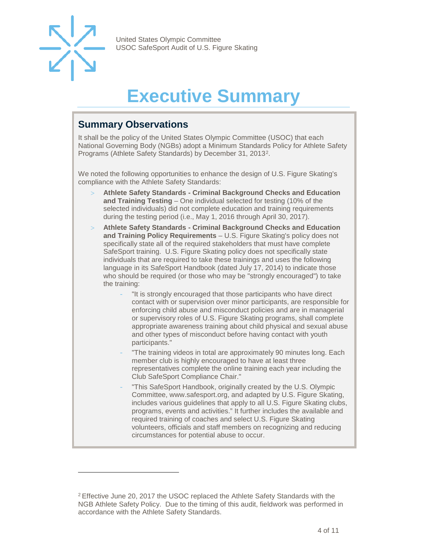

<span id="page-3-2"></span>-

United States Olympic Committee USOC SafeSport Audit of U.S. Figure Skating

## **Executive Summary**

#### <span id="page-3-1"></span><span id="page-3-0"></span>**Summary Observations**

It shall be the policy of the United States Olympic Committee (USOC) that each National Governing Body (NGBs) adopt a Minimum Standards Policy for Athlete Safety Programs (Athlete Safety Standards) by December 31, 2013[2](#page-3-3).

We noted the following opportunities to enhance the design of U.S. Figure Skating's compliance with the Athlete Safety Standards:

- > **Athlete Safety Standards - Criminal Background Checks and Education and Training Testing** – One individual selected for testing (10% of the selected individuals) did not complete education and training requirements during the testing period (i.e., May 1, 2016 through April 30, 2017).
- > **Athlete Safety Standards - Criminal Background Checks and Education and Training Policy Requirements** – U.S. Figure Skating's policy does not specifically state all of the required stakeholders that must have complete SafeSport training. U.S. Figure Skating policy does not specifically state individuals that are required to take these trainings and uses the following language in its SafeSport Handbook (dated July 17, 2014) to indicate those who should be required (or those who may be "strongly encouraged") to take the training:
	- "It is strongly encouraged that those participants who have direct contact with or supervision over minor participants, are responsible for enforcing child abuse and misconduct policies and are in managerial or supervisory roles of U.S. Figure Skating programs, shall complete appropriate awareness training about child physical and sexual abuse and other types of misconduct before having contact with youth participants."
	- "The training videos in total are approximately 90 minutes long. Each member club is highly encouraged to have at least three representatives complete the online training each year including the Club SafeSport Compliance Chair."
	- "This SafeSport Handbook, originally created by the U.S. Olympic Committee, www.safesport.org, and adapted by U.S. Figure Skating, includes various guidelines that apply to all U.S. Figure Skating clubs, programs, events and activities." It further includes the available and required training of coaches and select U.S. Figure Skating volunteers, officials and staff members on recognizing and reducing circumstances for potential abuse to occur.

<span id="page-3-3"></span><sup>2</sup> Effective June 20, 2017 the USOC replaced the Athlete Safety Standards with the NGB Athlete Safety Policy. Due to the timing of this audit, fieldwork was performed in accordance with the Athlete Safety Standards.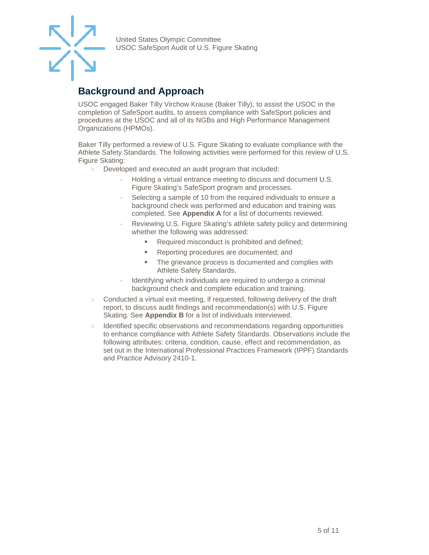

#### **Background and Approach**

USOC engaged Baker Tilly Virchow Krause (Baker Tilly), to assist the USOC in the completion of SafeSport audits, to assess compliance with SafeSport policies and procedures at the USOC and all of its NGBs and High Performance Management Organizations (HPMOs).

Baker Tilly performed a review of U.S. Figure Skating to evaluate compliance with the Athlete Safety Standards. The following activities were performed for this review of U.S. Figure Skating:

- > Developed and executed an audit program that included:
	- Holding a virtual entrance meeting to discuss and document U.S. Figure Skating's SafeSport program and processes.
	- Selecting a sample of 10 from the required individuals to ensure a background check was performed and education and training was completed. See **Appendix A** for a list of documents reviewed.
	- Reviewing U.S. Figure Skating's athlete safety policy and determining whether the following was addressed:
		- Required misconduct is prohibited and defined;
		- **Reporting procedures are documented; and**
		- The grievance process is documented and complies with Athlete Safety Standards.
	- Identifying which individuals are required to undergo a criminal background check and complete education and training.
- Conducted a virtual exit meeting, if requested, following delivery of the draft report, to discuss audit findings and recommendation(s) with U.S. Figure Skating. See **Appendix B** for a list of individuals interviewed.
- > Identified specific observations and recommendations regarding opportunities to enhance compliance with Athlete Safety Standards. Observations include the following attributes: criteria, condition, cause, effect and recommendation, as set out in the International Professional Practices Framework (IPPF) Standards and Practice Advisory 2410-1.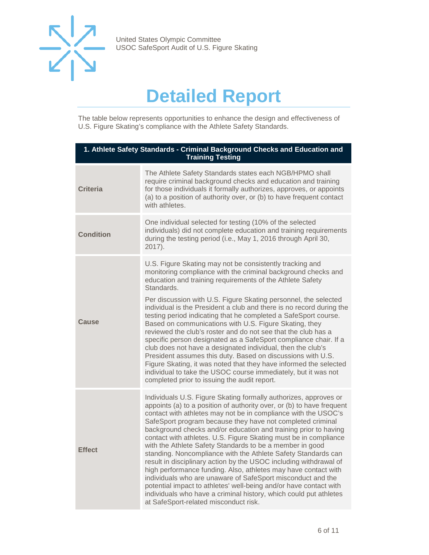

## **Detailed Report**

<span id="page-5-0"></span>The table below represents opportunities to enhance the design and effectiveness of U.S. Figure Skating's compliance with the Athlete Safety Standards.

| 1. Athlete Safety Standards - Criminal Background Checks and Education and<br><b>Training Testing</b> |                                                                                                                                                                                                                                                                                                                                                                                                                                                                                                                                                                                                                                                                                                                                                                                                                                                                                                                                        |  |
|-------------------------------------------------------------------------------------------------------|----------------------------------------------------------------------------------------------------------------------------------------------------------------------------------------------------------------------------------------------------------------------------------------------------------------------------------------------------------------------------------------------------------------------------------------------------------------------------------------------------------------------------------------------------------------------------------------------------------------------------------------------------------------------------------------------------------------------------------------------------------------------------------------------------------------------------------------------------------------------------------------------------------------------------------------|--|
| <b>Criteria</b>                                                                                       | The Athlete Safety Standards states each NGB/HPMO shall<br>require criminal background checks and education and training<br>for those individuals it formally authorizes, approves, or appoints<br>(a) to a position of authority over, or (b) to have frequent contact<br>with athletes.                                                                                                                                                                                                                                                                                                                                                                                                                                                                                                                                                                                                                                              |  |
| <b>Condition</b>                                                                                      | One individual selected for testing (10% of the selected<br>individuals) did not complete education and training requirements<br>during the testing period (i.e., May 1, 2016 through April 30,<br>$2017$ ).                                                                                                                                                                                                                                                                                                                                                                                                                                                                                                                                                                                                                                                                                                                           |  |
| Cause                                                                                                 | U.S. Figure Skating may not be consistently tracking and<br>monitoring compliance with the criminal background checks and<br>education and training requirements of the Athlete Safety<br>Standards.<br>Per discussion with U.S. Figure Skating personnel, the selected<br>individual is the President a club and there is no record during the<br>testing period indicating that he completed a SafeSport course.<br>Based on communications with U.S. Figure Skating, they<br>reviewed the club's roster and do not see that the club has a<br>specific person designated as a SafeSport compliance chair. If a<br>club does not have a designated individual, then the club's<br>President assumes this duty. Based on discussions with U.S.<br>Figure Skating, it was noted that they have informed the selected<br>individual to take the USOC course immediately, but it was not<br>completed prior to issuing the audit report. |  |
| <b>Effect</b>                                                                                         | Individuals U.S. Figure Skating formally authorizes, approves or<br>appoints (a) to a position of authority over, or (b) to have frequent<br>contact with athletes may not be in compliance with the USOC's<br>SafeSport program because they have not completed criminal<br>background checks and/or education and training prior to having<br>contact with athletes. U.S. Figure Skating must be in compliance<br>with the Athlete Safety Standards to be a member in good<br>standing. Noncompliance with the Athlete Safety Standards can<br>result in disciplinary action by the USOC including withdrawal of<br>high performance funding. Also, athletes may have contact with<br>individuals who are unaware of SafeSport misconduct and the<br>potential impact to athletes' well-being and/or have contact with<br>individuals who have a criminal history, which could put athletes<br>at SafeSport-related misconduct risk. |  |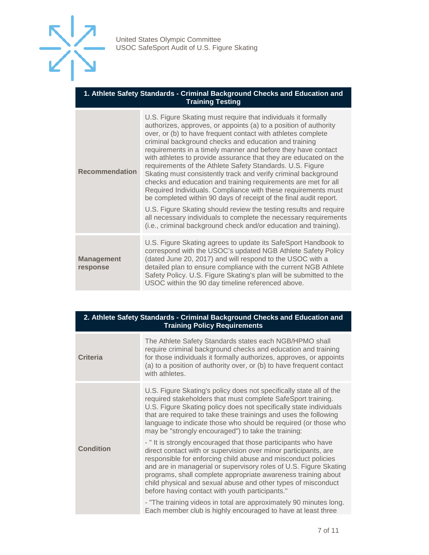

#### **1. Athlete Safety Standards - Criminal Background Checks and Education and Training Testing**

| <b>Recommendation</b>         | U.S. Figure Skating must require that individuals it formally<br>authorizes, approves, or appoints (a) to a position of authority<br>over, or (b) to have frequent contact with athletes complete<br>criminal background checks and education and training<br>requirements in a timely manner and before they have contact<br>with athletes to provide assurance that they are educated on the<br>requirements of the Athlete Safety Standards. U.S. Figure<br>Skating must consistently track and verify criminal background<br>checks and education and training requirements are met for all<br>Required Individuals. Compliance with these requirements must<br>be completed within 90 days of receipt of the final audit report.<br>U.S. Figure Skating should review the testing results and require<br>all necessary individuals to complete the necessary requirements<br>(i.e., criminal background check and/or education and training). |
|-------------------------------|----------------------------------------------------------------------------------------------------------------------------------------------------------------------------------------------------------------------------------------------------------------------------------------------------------------------------------------------------------------------------------------------------------------------------------------------------------------------------------------------------------------------------------------------------------------------------------------------------------------------------------------------------------------------------------------------------------------------------------------------------------------------------------------------------------------------------------------------------------------------------------------------------------------------------------------------------|
| <b>Management</b><br>response | U.S. Figure Skating agrees to update its SafeSport Handbook to<br>correspond with the USOC's updated NGB Athlete Safety Policy<br>(dated June 20, 2017) and will respond to the USOC with a<br>detailed plan to ensure compliance with the current NGB Athlete<br>Safety Policy. U.S. Figure Skating's plan will be submitted to the<br>USOC within the 90 day timeline referenced above.                                                                                                                                                                                                                                                                                                                                                                                                                                                                                                                                                          |

| 2. Athlete Safety Standards - Criminal Background Checks and Education and<br><b>Training Policy Requirements</b> |                                                                                                                                                                                                                                                                                                                                                                                                                                                             |  |
|-------------------------------------------------------------------------------------------------------------------|-------------------------------------------------------------------------------------------------------------------------------------------------------------------------------------------------------------------------------------------------------------------------------------------------------------------------------------------------------------------------------------------------------------------------------------------------------------|--|
| Criteria                                                                                                          | The Athlete Safety Standards states each NGB/HPMO shall<br>require criminal background checks and education and training<br>for those individuals it formally authorizes, approves, or appoints<br>(a) to a position of authority over, or (b) to have frequent contact<br>with athletes.                                                                                                                                                                   |  |
| <b>Condition</b>                                                                                                  | U.S. Figure Skating's policy does not specifically state all of the<br>required stakeholders that must complete SafeSport training.<br>U.S. Figure Skating policy does not specifically state individuals<br>that are required to take these trainings and uses the following<br>language to indicate those who should be required (or those who<br>may be "strongly encouraged") to take the training:                                                     |  |
|                                                                                                                   | - "It is strongly encouraged that those participants who have<br>direct contact with or supervision over minor participants, are<br>responsible for enforcing child abuse and misconduct policies<br>and are in managerial or supervisory roles of U.S. Figure Skating<br>programs, shall complete appropriate awareness training about<br>child physical and sexual abuse and other types of misconduct<br>before having contact with youth participants." |  |
|                                                                                                                   | - "The training videos in total are approximately 90 minutes long.<br>Each member club is highly encouraged to have at least three                                                                                                                                                                                                                                                                                                                          |  |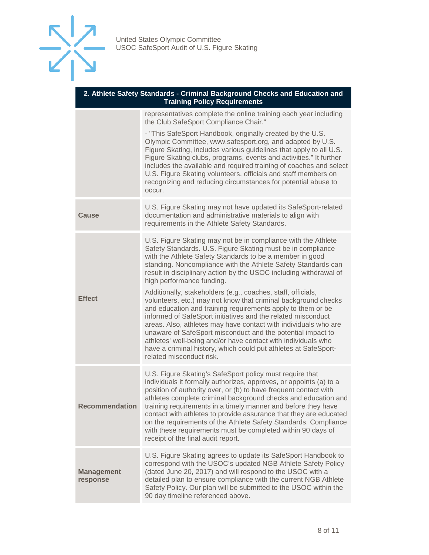

| 2. Athlete Safety Standards - Criminal Background Checks and Education and<br><b>Training Policy Requirements</b> |                                                                                                                                                                                                                                                                                                                                                                                                                                                                                                                                                                                                                                                                                                                                                                                                                                                                                                                                |  |
|-------------------------------------------------------------------------------------------------------------------|--------------------------------------------------------------------------------------------------------------------------------------------------------------------------------------------------------------------------------------------------------------------------------------------------------------------------------------------------------------------------------------------------------------------------------------------------------------------------------------------------------------------------------------------------------------------------------------------------------------------------------------------------------------------------------------------------------------------------------------------------------------------------------------------------------------------------------------------------------------------------------------------------------------------------------|--|
|                                                                                                                   | representatives complete the online training each year including<br>the Club SafeSport Compliance Chair."                                                                                                                                                                                                                                                                                                                                                                                                                                                                                                                                                                                                                                                                                                                                                                                                                      |  |
|                                                                                                                   | - "This SafeSport Handbook, originally created by the U.S.<br>Olympic Committee, www.safesport.org, and adapted by U.S.<br>Figure Skating, includes various guidelines that apply to all U.S.<br>Figure Skating clubs, programs, events and activities." It further<br>includes the available and required training of coaches and select<br>U.S. Figure Skating volunteers, officials and staff members on<br>recognizing and reducing circumstances for potential abuse to<br>occur.                                                                                                                                                                                                                                                                                                                                                                                                                                         |  |
| <b>Cause</b>                                                                                                      | U.S. Figure Skating may not have updated its SafeSport-related<br>documentation and administrative materials to align with<br>requirements in the Athlete Safety Standards.                                                                                                                                                                                                                                                                                                                                                                                                                                                                                                                                                                                                                                                                                                                                                    |  |
| <b>Effect</b>                                                                                                     | U.S. Figure Skating may not be in compliance with the Athlete<br>Safety Standards. U.S. Figure Skating must be in compliance<br>with the Athlete Safety Standards to be a member in good<br>standing. Noncompliance with the Athlete Safety Standards can<br>result in disciplinary action by the USOC including withdrawal of<br>high performance funding.<br>Additionally, stakeholders (e.g., coaches, staff, officials,<br>volunteers, etc.) may not know that criminal background checks<br>and education and training requirements apply to them or be<br>informed of SafeSport initiatives and the related misconduct<br>areas. Also, athletes may have contact with individuals who are<br>unaware of SafeSport misconduct and the potential impact to<br>athletes' well-being and/or have contact with individuals who<br>have a criminal history, which could put athletes at SafeSport-<br>related misconduct risk. |  |
| <b>Recommendation</b>                                                                                             | U.S. Figure Skating's SafeSport policy must require that<br>individuals it formally authorizes, approves, or appoints (a) to a<br>position of authority over, or (b) to have frequent contact with<br>athletes complete criminal background checks and education and<br>training requirements in a timely manner and before they have<br>contact with athletes to provide assurance that they are educated<br>on the requirements of the Athlete Safety Standards. Compliance<br>with these requirements must be completed within 90 days of<br>receipt of the final audit report.                                                                                                                                                                                                                                                                                                                                             |  |
| <b>Management</b><br>response                                                                                     | U.S. Figure Skating agrees to update its SafeSport Handbook to<br>correspond with the USOC's updated NGB Athlete Safety Policy<br>(dated June 20, 2017) and will respond to the USOC with a<br>detailed plan to ensure compliance with the current NGB Athlete<br>Safety Policy. Our plan will be submitted to the USOC within the<br>90 day timeline referenced above.                                                                                                                                                                                                                                                                                                                                                                                                                                                                                                                                                        |  |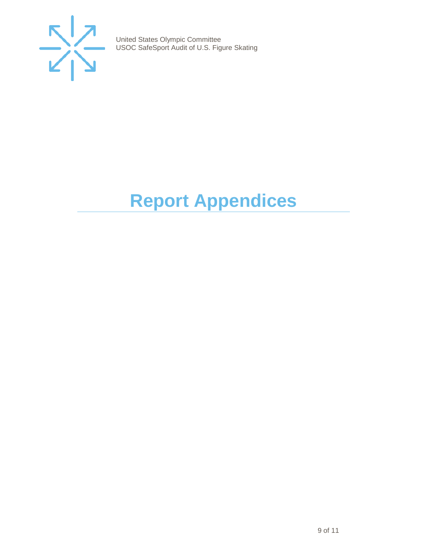

# <span id="page-8-0"></span>**Report Appendices**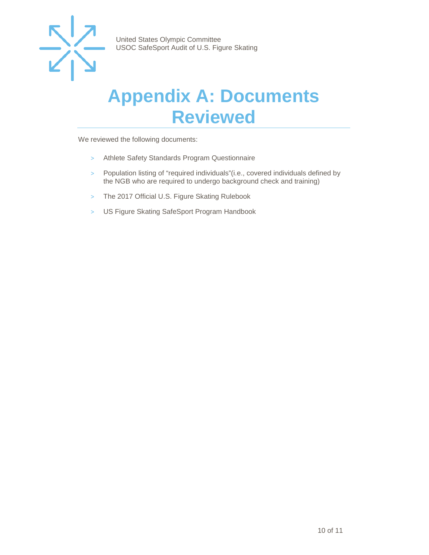

#### <span id="page-9-0"></span>**Appendix A: Documents Reviewed**

We reviewed the following documents:

- > Athlete Safety Standards Program Questionnaire
- > Population listing of "required individuals"(i.e., covered individuals defined by the NGB who are required to undergo background check and training)
- > The 2017 Official U.S. Figure Skating Rulebook
- > US Figure Skating SafeSport Program Handbook